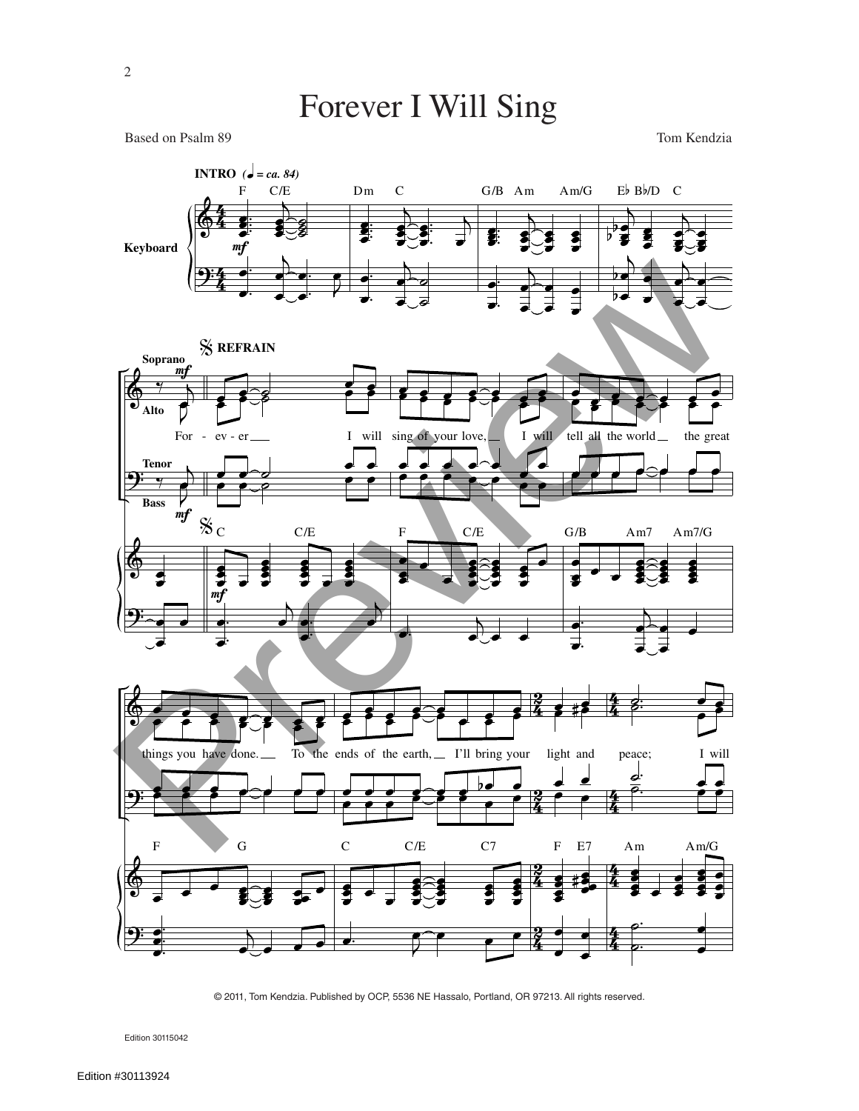## Forever I Will Sing

Based on Psalm 89 Tom Kendzia



<sup>© 2011,</sup> Tom Kendzia. Published by OCP, 5536 NE Hassalo, Portland, OR 97213. All rights reserved.

Edition 30115042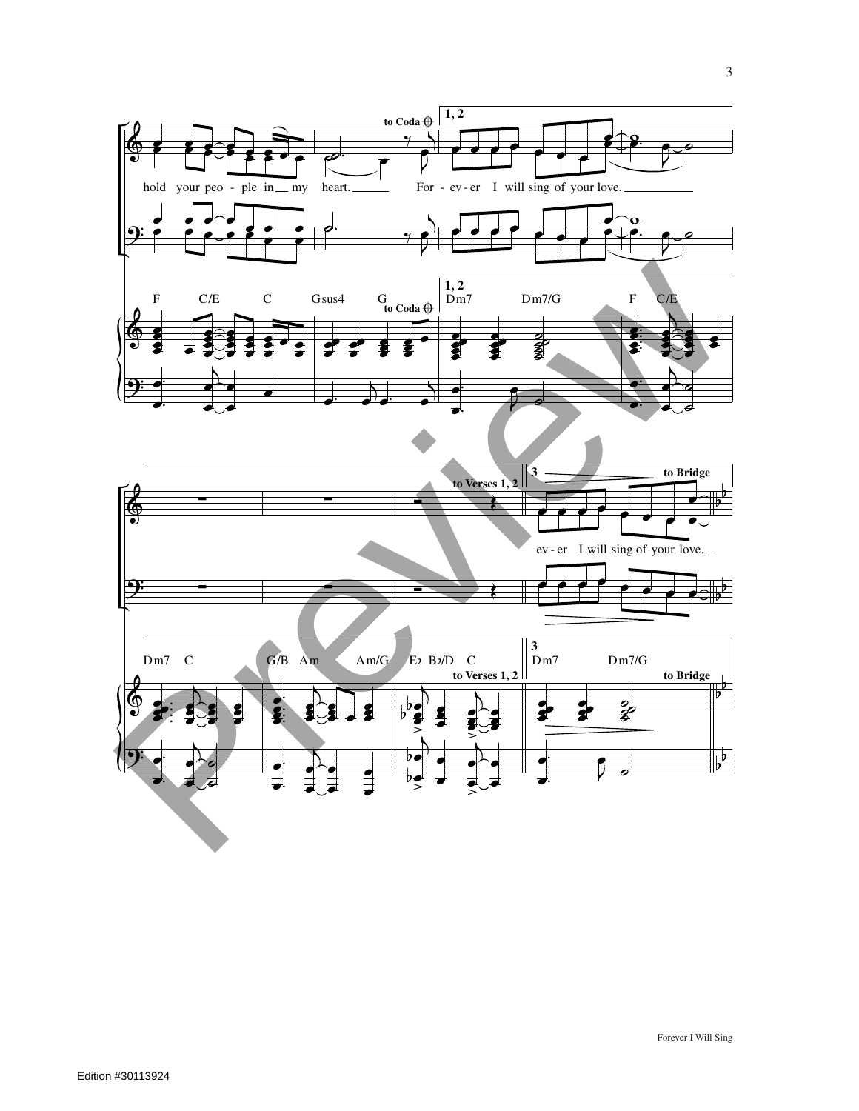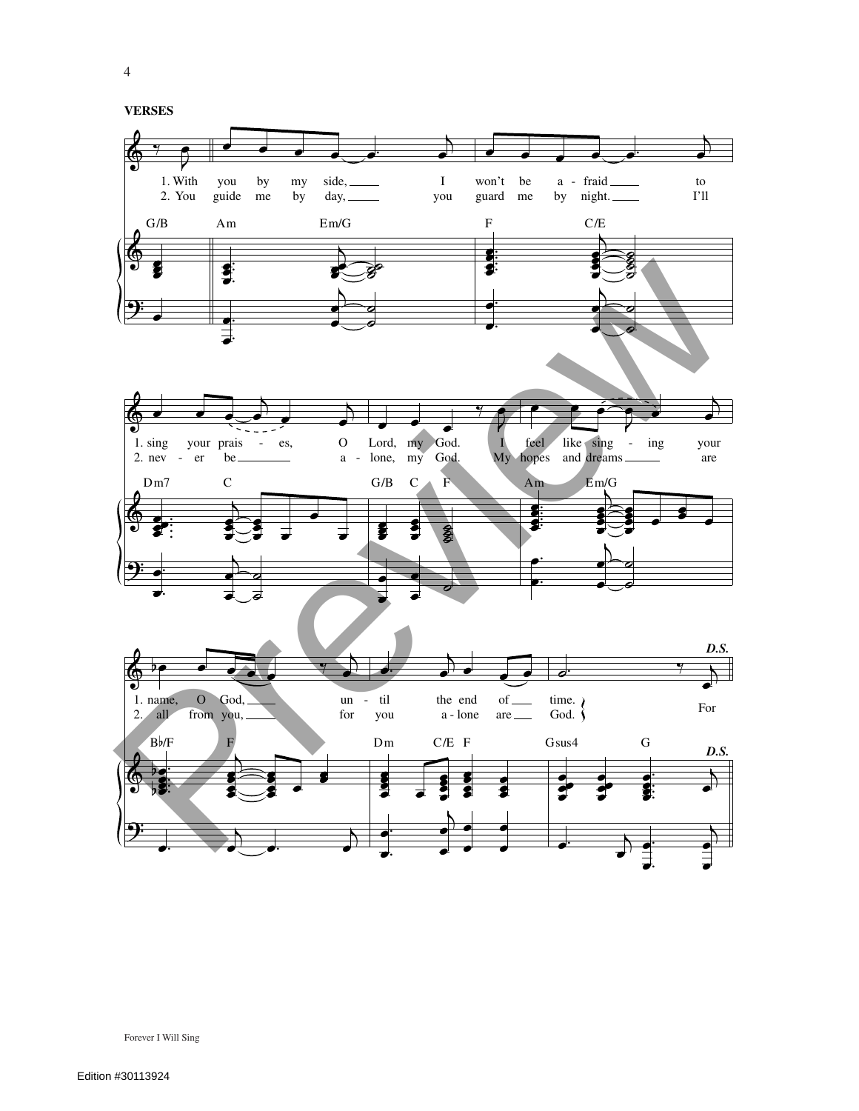**VERSES**



4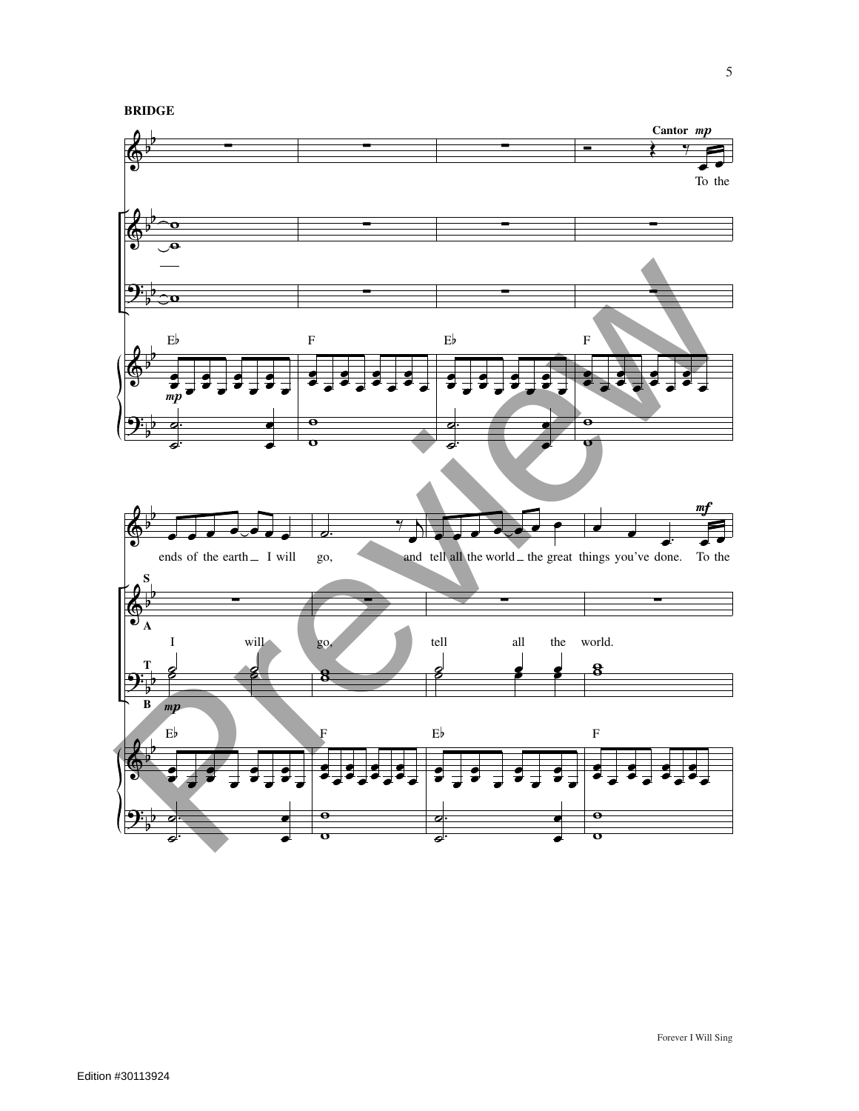**BRIDGE**

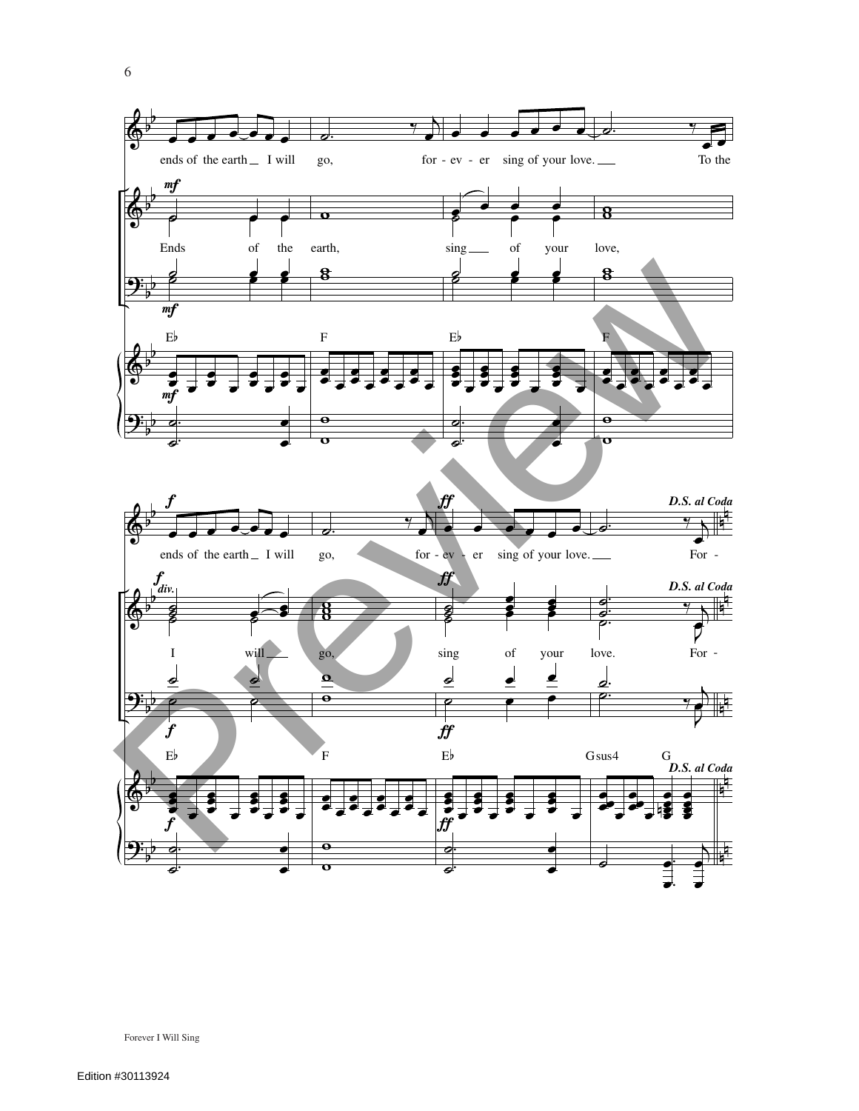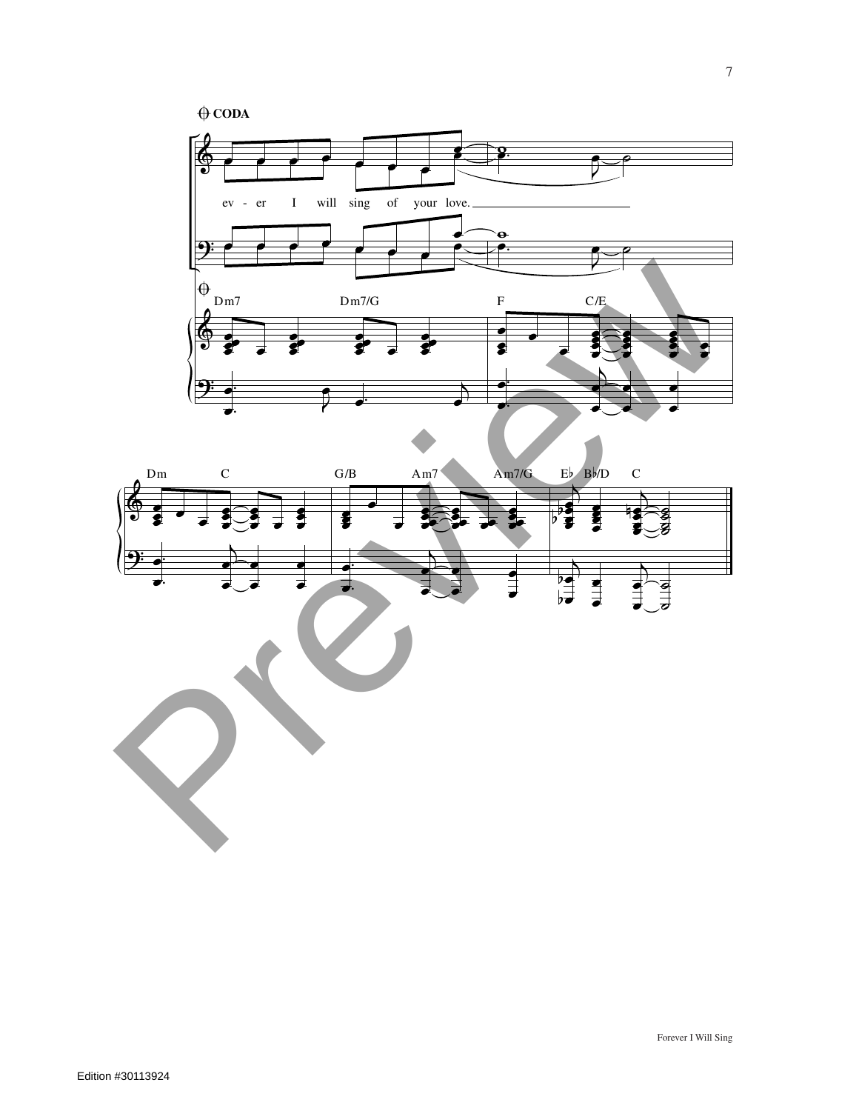$\bigoplus$  **CODA** 





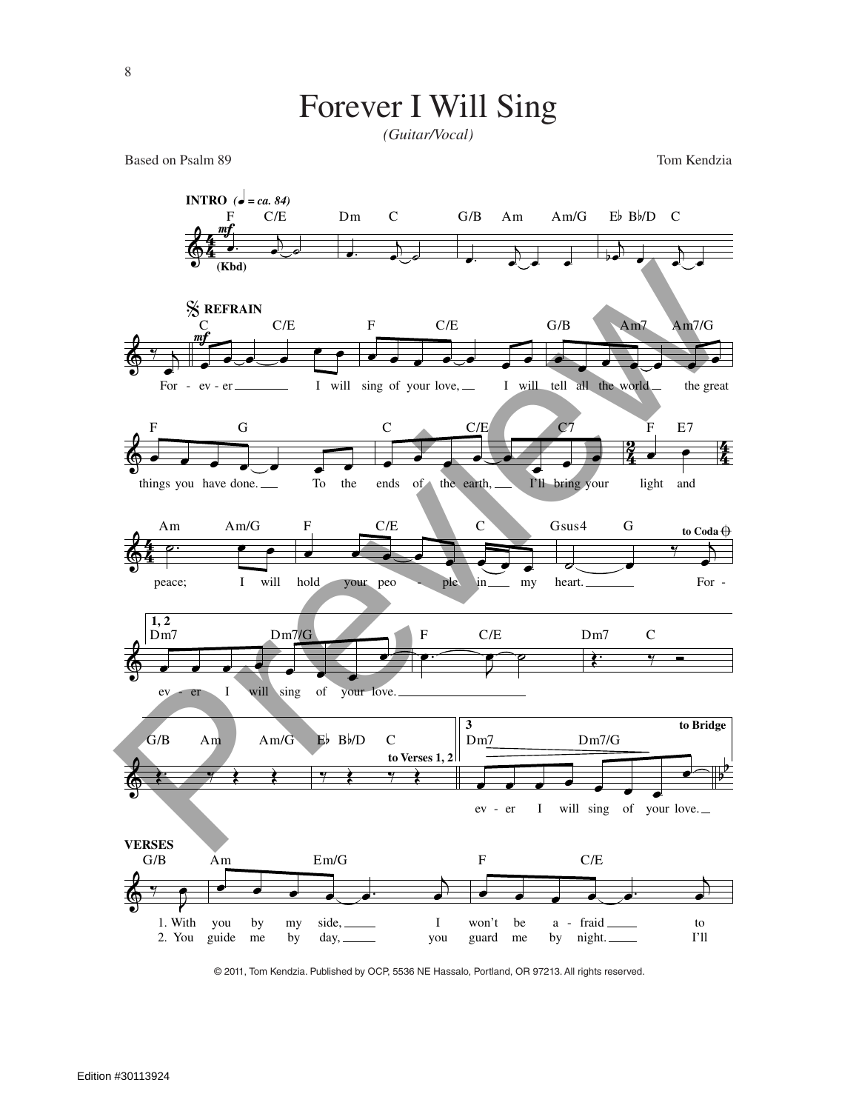

*(Guitar/Vocal)*

Based on Psalm 89 Tom Kendzia



© 2011, Tom Kendzia. Published by OCP, 5536 NE Hassalo, Portland, OR 97213. All rights reserved.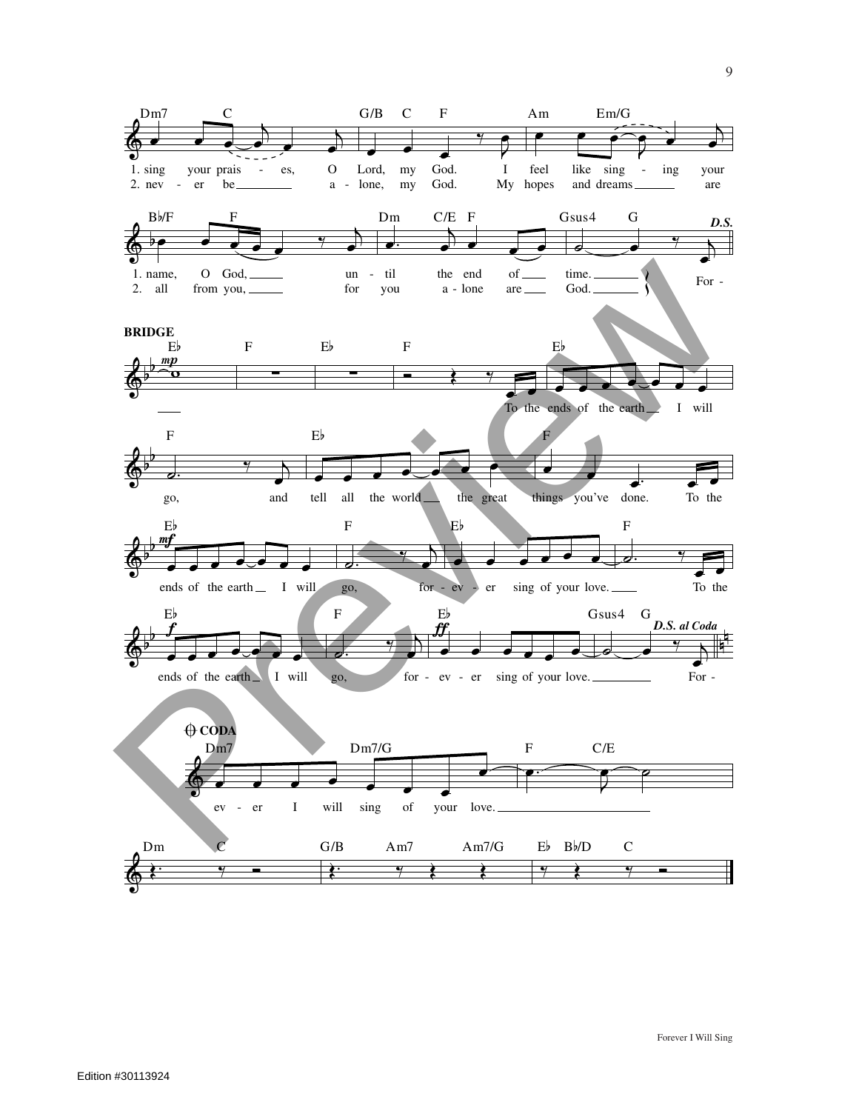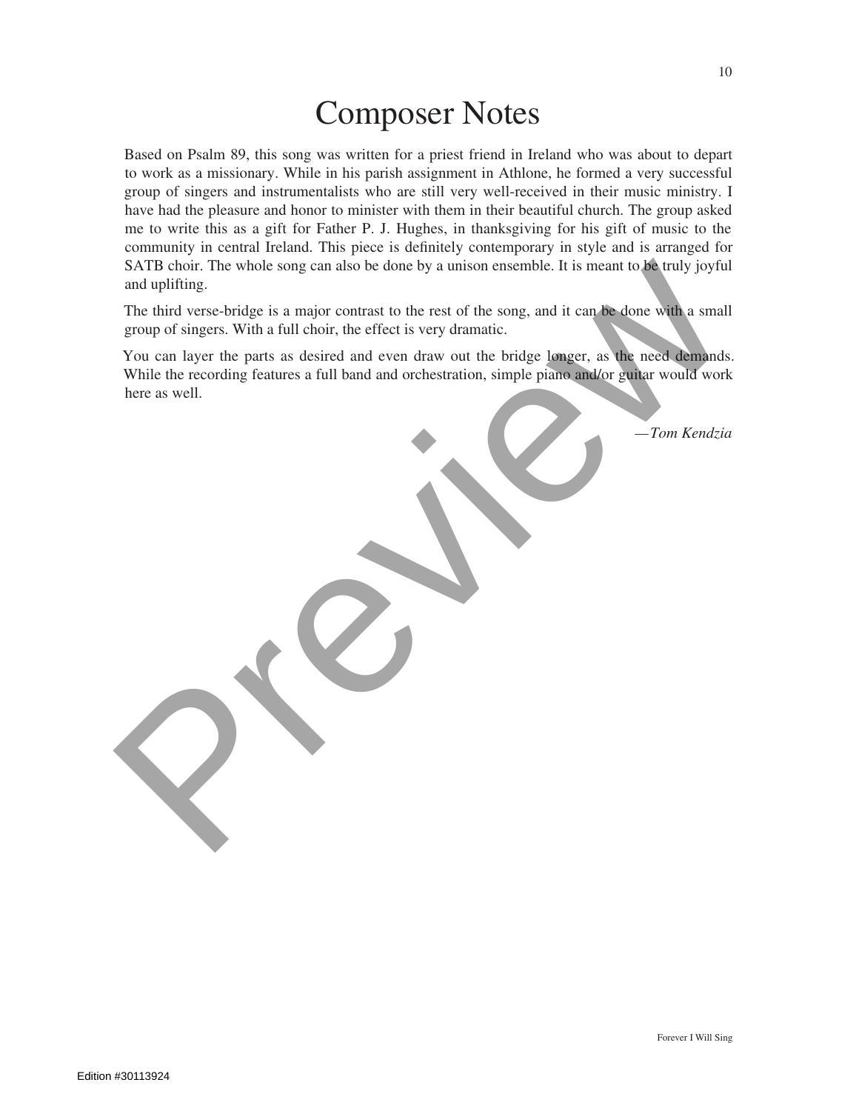*—Tom Kendzia*

## Composer Notes

Based on Psalm 89, this song was written for a priest friend in Ireland who was about to depart to work as a missionary. While in his parish assignment in Athlone, he formed a very successful group of singers and instrumentalists who are still very well-received in their music ministry. I have had the pleasure and honor to minister with them in their beautiful church. The group asked me to write this as a gift for Father P. J. Hughes, in thanksgiving for his gift of music to the community in central Ireland. This piece is definitely contemporary in style and is arranged for SATB choir. The whole song can also be done by a unison ensemble. It is meant to be truly joyful and uplifting.

The third verse-bridge is a major contrast to the rest of the song, and it can be done with a small group of singers. With a full choir, the effect is very dramatic.

You can layer the parts as desired and even draw out the bridge longer, as the need demands. While the recording features a full band and orchestration, simple piano and/or guitar would work here as well. SATE choice. The whole song can also be done by a unison ensemble. It is meant to le truly joyful and uplifung.<br>The third verse-bridge is a major contrast to the rest of the song, and it can be done with a small group of s